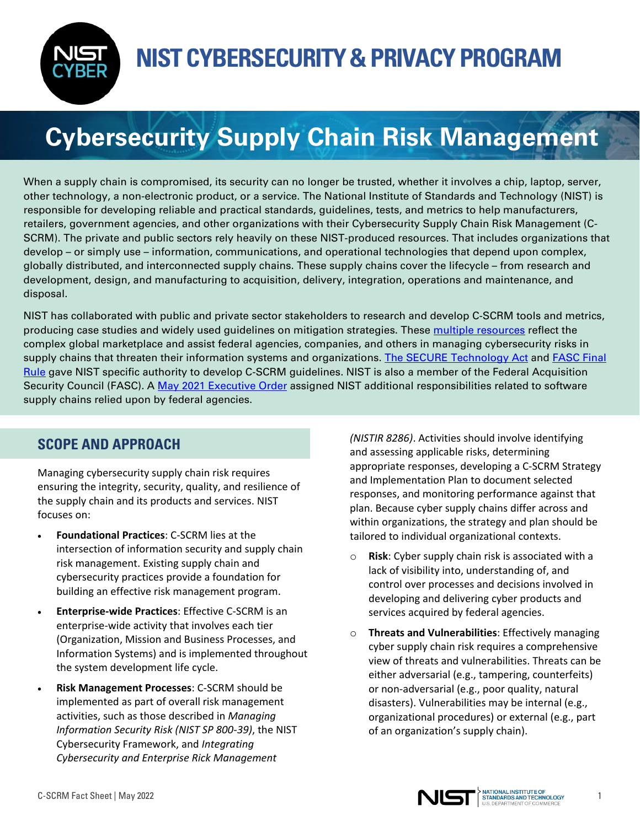

## **Cybersecurity Supply Chain Risk Management**

When a supply chain is compromised, its security can no longer be trusted, whether it involves a chip, laptop, server, other technology, a non-electronic product, or a service. The National Institute of Standards and Technology (NIST) is responsible for developing reliable and practical standards, guidelines, tests, and metrics to help manufacturers, retailers, government agencies, and other organizations with their Cybersecurity Supply Chain Risk Management (C-SCRM). The private and public sectors rely heavily on these NIST-produced resources. That includes organizations that develop – or simply use – information, communications, and operational technologies that depend upon complex, globally distributed, and interconnected supply chains. These supply chains cover the lifecycle – from research and development, design, and manufacturing to acquisition, delivery, integration, operations and maintenance, and disposal.

NIST has collaborated with public and private sector stakeholders to research and develop C-SCRM tools and metrics, producing case studies and widely used guidelines on mitigation strategies. These [multiple resources](https://csrc.nist.gov/Projects/cyber-supply-chain-risk-management/key-resources-and-activities) reflect the complex global marketplace and assist federal agencies, companies, and others in managing cybersecurity risks in supply chains that threaten their information systems and organizations. [The SECURE Technology Act](https://www.congress.gov/115/plaws/publ390/PLAW-115publ390.pdf) and FASC Final [Rule](https://www.federalregister.gov/documents/2021/08/26/2021-17532/federal-acquisition-security-council-rule) gave NIST specific authority to develop C-SCRM guidelines. NIST is also a member of the Federal Acquisition Security Council (FASC). A [May 2021 Executive Order](https://www.nist.gov/itl/executive-order-improving-nations-cybersecurity) assigned NIST additional responsibilities related to software supply chains relied upon by federal agencies.

## **SCOPE AND APPROACH**

Managing cybersecurity supply chain risk requires ensuring the integrity, security, quality, and resilience of the supply chain and its products and services. NIST focuses on:

- **Foundational Practices**: C-SCRM lies at the intersection of information security and supply chain risk management. Existing supply chain and cybersecurity practices provide a foundation for building an effective risk management program.
- **Enterprise-wide Practices**: Effective C-SCRM is an enterprise-wide activity that involves each tier (Organization, Mission and Business Processes, and Information Systems) and is implemented throughout the system development life cycle.
- **Risk Management Processes**: C-SCRM should be implemented as part of overall risk management activities, such as those described in *Managing Information Security Risk (NIST SP 800-39)*, the NIST Cybersecurity Framework, and *Integrating Cybersecurity and Enterprise Rick Management*

*(NISTIR 8286)*. Activities should involve identifying and assessing applicable risks, determining appropriate responses, developing a C-SCRM Strategy and Implementation Plan to document selected responses, and monitoring performance against that plan. Because cyber supply chains differ across and within organizations, the strategy and plan should be tailored to individual organizational contexts.

- o **Risk**: Cyber supply chain risk is associated with a lack of visibility into, understanding of, and control over processes and decisions involved in developing and delivering cyber products and services acquired by federal agencies.
- o **Threats and Vulnerabilities**: Effectively managing cyber supply chain risk requires a comprehensive view of threats and vulnerabilities. Threats can be either adversarial (e.g., tampering, counterfeits) or non-adversarial (e.g., poor quality, natural disasters). Vulnerabilities may be internal (e.g., organizational procedures) or external (e.g., part of an organization's supply chain).